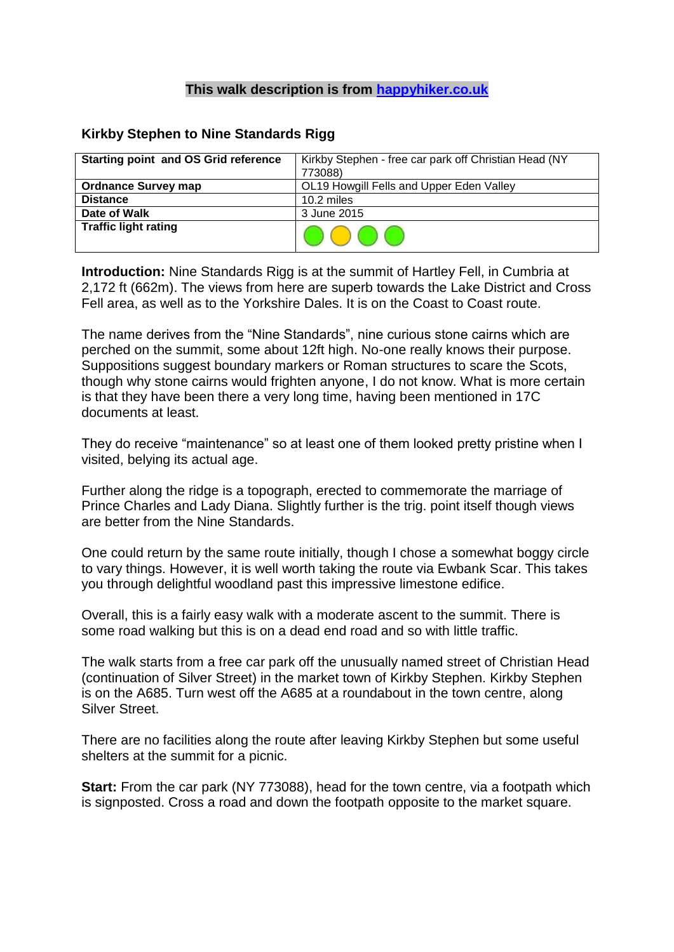## **This walk description is from [happyhiker.co.uk](http://happyhiker.co.uk/)**

## **Kirkby Stephen to Nine Standards Rigg**

| <b>Starting point and OS Grid reference</b> | Kirkby Stephen - free car park off Christian Head (NY |
|---------------------------------------------|-------------------------------------------------------|
|                                             | 773088)                                               |
| <b>Ordnance Survey map</b>                  | OL19 Howgill Fells and Upper Eden Valley              |
| <b>Distance</b>                             | 10.2 miles                                            |
| Date of Walk                                | 3 June 2015                                           |
| <b>Traffic light rating</b>                 |                                                       |

**Introduction:** Nine Standards Rigg is at the summit of Hartley Fell, in Cumbria at 2,172 ft (662m). The views from here are superb towards the Lake District and Cross Fell area, as well as to the Yorkshire Dales. It is on the Coast to Coast route.

The name derives from the "Nine Standards", nine curious stone cairns which are perched on the summit, some about 12ft high. No-one really knows their purpose. Suppositions suggest boundary markers or Roman structures to scare the Scots, though why stone cairns would frighten anyone, I do not know. What is more certain is that they have been there a very long time, having been mentioned in 17C documents at least.

They do receive "maintenance" so at least one of them looked pretty pristine when I visited, belying its actual age.

Further along the ridge is a topograph, erected to commemorate the marriage of Prince Charles and Lady Diana. Slightly further is the trig. point itself though views are better from the Nine Standards.

One could return by the same route initially, though I chose a somewhat boggy circle to vary things. However, it is well worth taking the route via Ewbank Scar. This takes you through delightful woodland past this impressive limestone edifice.

Overall, this is a fairly easy walk with a moderate ascent to the summit. There is some road walking but this is on a dead end road and so with little traffic.

The walk starts from a free car park off the unusually named street of Christian Head (continuation of Silver Street) in the market town of Kirkby Stephen. Kirkby Stephen is on the A685. Turn west off the A685 at a roundabout in the town centre, along Silver Street.

There are no facilities along the route after leaving Kirkby Stephen but some useful shelters at the summit for a picnic.

**Start:** From the car park (NY 773088), head for the town centre, via a footpath which is signposted. Cross a road and down the footpath opposite to the market square.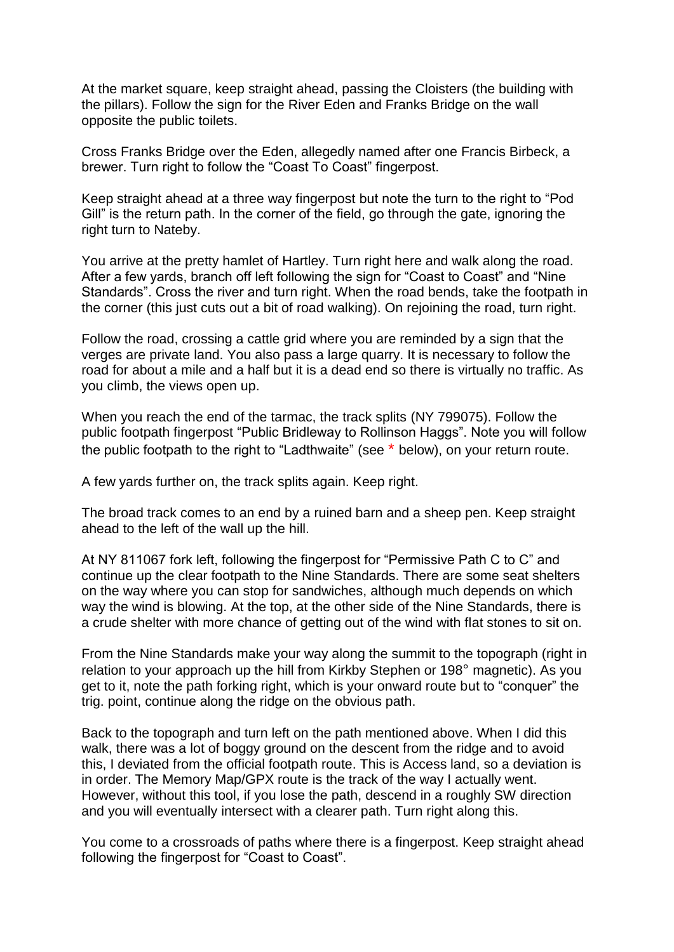At the market square, keep straight ahead, passing the Cloisters (the building with the pillars). Follow the sign for the River Eden and Franks Bridge on the wall opposite the public toilets.

Cross Franks Bridge over the Eden, allegedly named after one Francis Birbeck, a brewer. Turn right to follow the "Coast To Coast" fingerpost.

Keep straight ahead at a three way fingerpost but note the turn to the right to "Pod Gill" is the return path. In the corner of the field, go through the gate, ignoring the right turn to Nateby.

You arrive at the pretty hamlet of Hartley. Turn right here and walk along the road. After a few yards, branch off left following the sign for "Coast to Coast" and "Nine Standards". Cross the river and turn right. When the road bends, take the footpath in the corner (this just cuts out a bit of road walking). On rejoining the road, turn right.

Follow the road, crossing a cattle grid where you are reminded by a sign that the verges are private land. You also pass a large quarry. It is necessary to follow the road for about a mile and a half but it is a dead end so there is virtually no traffic. As you climb, the views open up.

When you reach the end of the tarmac, the track splits (NY 799075). Follow the public footpath fingerpost "Public Bridleway to Rollinson Haggs". Note you will follow the public footpath to the right to "Ladthwaite" (see \* below), on your return route.

A few yards further on, the track splits again. Keep right.

The broad track comes to an end by a ruined barn and a sheep pen. Keep straight ahead to the left of the wall up the hill.

At NY 811067 fork left, following the fingerpost for "Permissive Path C to C" and continue up the clear footpath to the Nine Standards. There are some seat shelters on the way where you can stop for sandwiches, although much depends on which way the wind is blowing. At the top, at the other side of the Nine Standards, there is a crude shelter with more chance of getting out of the wind with flat stones to sit on.

From the Nine Standards make your way along the summit to the topograph (right in relation to your approach up the hill from Kirkby Stephen or 198° magnetic). As you get to it, note the path forking right, which is your onward route but to "conquer" the trig. point, continue along the ridge on the obvious path.

Back to the topograph and turn left on the path mentioned above. When I did this walk, there was a lot of boggy ground on the descent from the ridge and to avoid this, I deviated from the official footpath route. This is Access land, so a deviation is in order. The Memory Map/GPX route is the track of the way I actually went. However, without this tool, if you lose the path, descend in a roughly SW direction and you will eventually intersect with a clearer path. Turn right along this.

You come to a crossroads of paths where there is a fingerpost. Keep straight ahead following the fingerpost for "Coast to Coast".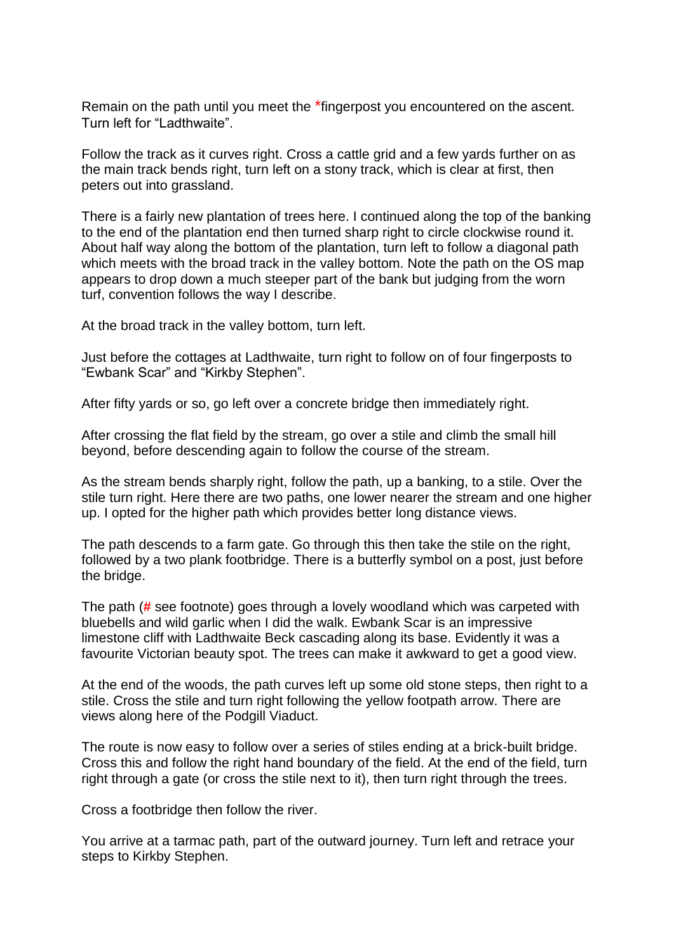Remain on the path until you meet the \*fingerpost you encountered on the ascent. Turn left for "Ladthwaite".

Follow the track as it curves right. Cross a cattle grid and a few yards further on as the main track bends right, turn left on a stony track, which is clear at first, then peters out into grassland.

There is a fairly new plantation of trees here. I continued along the top of the banking to the end of the plantation end then turned sharp right to circle clockwise round it. About half way along the bottom of the plantation, turn left to follow a diagonal path which meets with the broad track in the valley bottom. Note the path on the OS map appears to drop down a much steeper part of the bank but judging from the worn turf, convention follows the way I describe.

At the broad track in the valley bottom, turn left.

Just before the cottages at Ladthwaite, turn right to follow on of four fingerposts to "Ewbank Scar" and "Kirkby Stephen".

After fifty yards or so, go left over a concrete bridge then immediately right.

After crossing the flat field by the stream, go over a stile and climb the small hill beyond, before descending again to follow the course of the stream.

As the stream bends sharply right, follow the path, up a banking, to a stile. Over the stile turn right. Here there are two paths, one lower nearer the stream and one higher up. I opted for the higher path which provides better long distance views.

The path descends to a farm gate. Go through this then take the stile on the right, followed by a two plank footbridge. There is a butterfly symbol on a post, just before the bridge.

The path (**#** see footnote) goes through a lovely woodland which was carpeted with bluebells and wild garlic when I did the walk. Ewbank Scar is an impressive limestone cliff with Ladthwaite Beck cascading along its base. Evidently it was a favourite Victorian beauty spot. The trees can make it awkward to get a good view.

At the end of the woods, the path curves left up some old stone steps, then right to a stile. Cross the stile and turn right following the yellow footpath arrow. There are views along here of the Podgill Viaduct.

The route is now easy to follow over a series of stiles ending at a brick-built bridge. Cross this and follow the right hand boundary of the field. At the end of the field, turn right through a gate (or cross the stile next to it), then turn right through the trees.

Cross a footbridge then follow the river.

You arrive at a tarmac path, part of the outward journey. Turn left and retrace your steps to Kirkby Stephen.